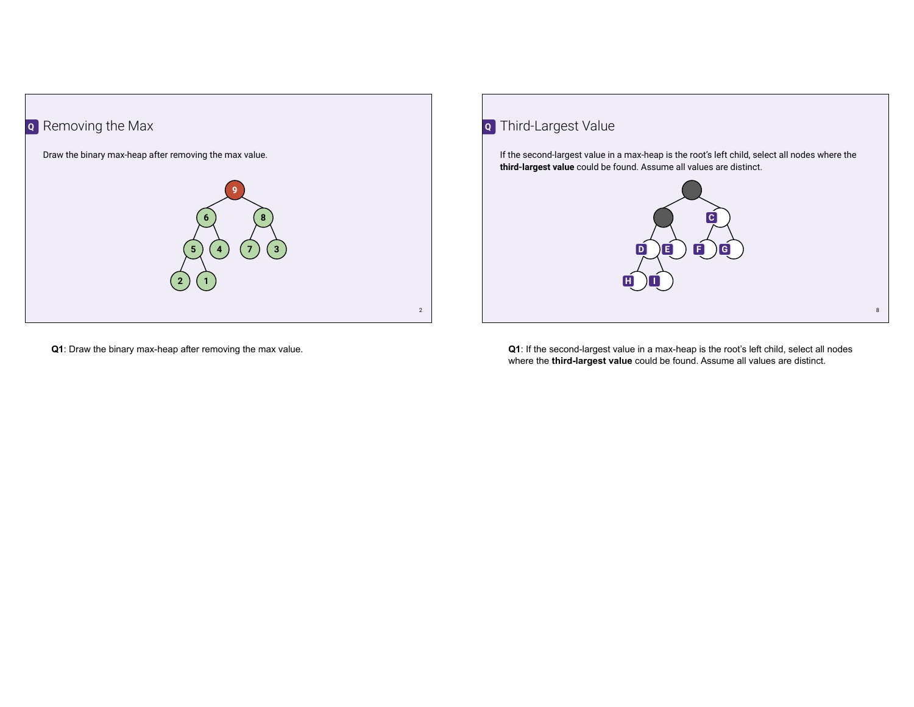

Third-Largest Value **Q**

If the second-largest value in a max-heap is the root's left child, select all nodes where the **third-largest value** could be found. Assume all values are distinct.



**Q1**: Draw the binary max-heap after removing the max value.

**Q1**: If the second-largest value in a max-heap is the root's left child, select all nodes where the **third-largest value** could be found. Assume all values are distinct.